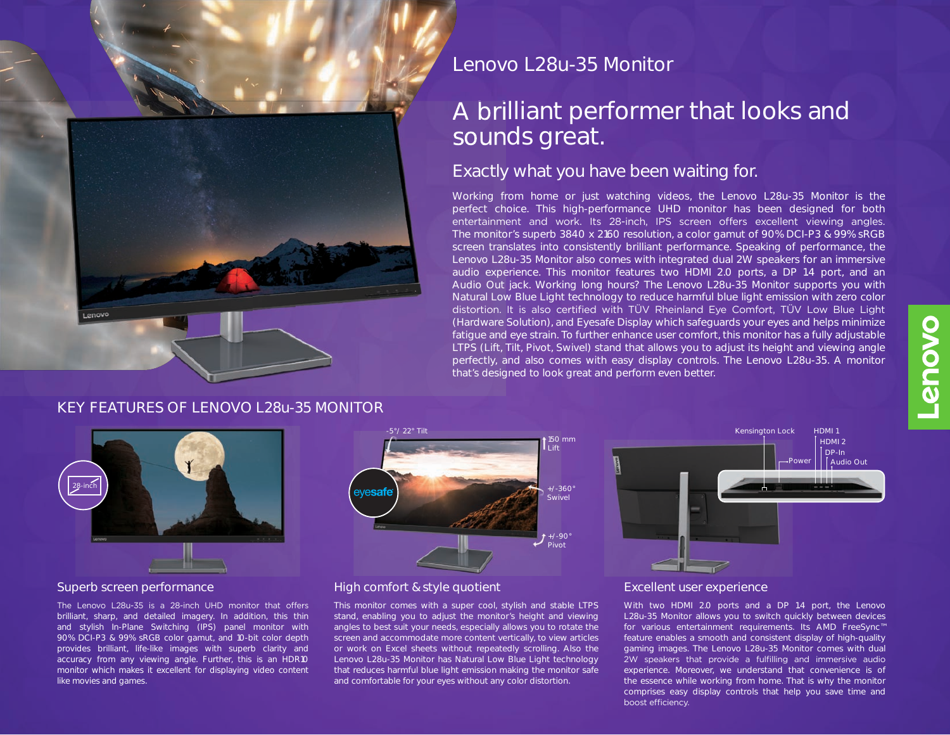

# **Lenovo L28u-35 Monitor**

# **A brilliant performer that looks and sounds great.**

## Exactly what you have been waiting for.

Working from home or just watching videos, the Lenovo L28u-35 Monitor is the perfect choice. This high-performance UHD monitor has been designed for both entertainment and work. Its 28-inch, IPS screen offers excellent viewing angles. The monitor's superb 3840 x 2160 resolution, a color gamut of 90% DCI-P3 & 99% sRGB screen translates into consistently brilliant performance. Speaking of performance, the Lenovo L28u-35 Monitor also comes with integrated dual 2W speakers for an immersive audio experience. This monitor features two HDMI 2.0 ports, a DP 1.4 port, and an Audio Out jack. Working long hours? The Lenovo L28u-35 Monitor supports you with Natural Low Blue Light technology to reduce harmful blue light emission with zero color distortion. It is also certified with TÜV Rheinland Eye Comfort, TÜV Low Blue Light (Hardware Solution), and Eyesafe Display which safeguards your eyes and helps minimize fatigue and eye strain. To further enhance user comfort, this monitor has a fully adjustable LTPS (Lift, Tilt, Pivot, Swivel) stand that allows you to adjust its height and viewing angle perfectly, and also comes with easy display controls. The Lenovo L28u-35. A monitor that's designed to look great and perform even better.

### **KEY FEATURES OF LENOVO L28u-35 MONITOR**



The Lenovo L28u-35 is a 28-inch UHD monitor that offers brilliant, sharp, and detailed imagery. In addition, this thin and stylish In-Plane Switching (IPS) panel monitor with 90% DCI-P3 & 99% sRGB color gamut, and 10-bit color depth provides brilliant, life-like images with superb clarity and accuracy from any viewing angle. Further, this is an HDR10 monitor which makes it excellent for displaying video content like movies and games.



#### **Superb screen performance High comfort & style quotient Excellent user experience**

This monitor comes with a super cool, stylish and stable LTPS stand, enabling you to adjust the monitor's height and viewing angles to best suit your needs, especially allows you to rotate the screen and accommodate more content vertically, to view articles or work on Excel sheets without repeatedly scrolling. Also the Lenovo L28u-35 Monitor has Natural Low Blue Light technology that reduces harmful blue light emission making the monitor safe and comfortable for your eyes without any color distortion.



With two HDMI 2.0 ports and a DP 1.4 port, the Lenovo L28u-35 Monitor allows you to switch quickly between devices for various entertainment requirements. Its AMD FreeSync™ feature enables a smooth and consistent display of high-quality gaming images. The Lenovo L28u-35 Monitor comes with dual 2W speakers that provide a fulfilling and immersive audio experience. Moreover, we understand that convenience is of the essence while working from home. That is why the monitor comprises easy display controls that help you save time and boost efficiency.